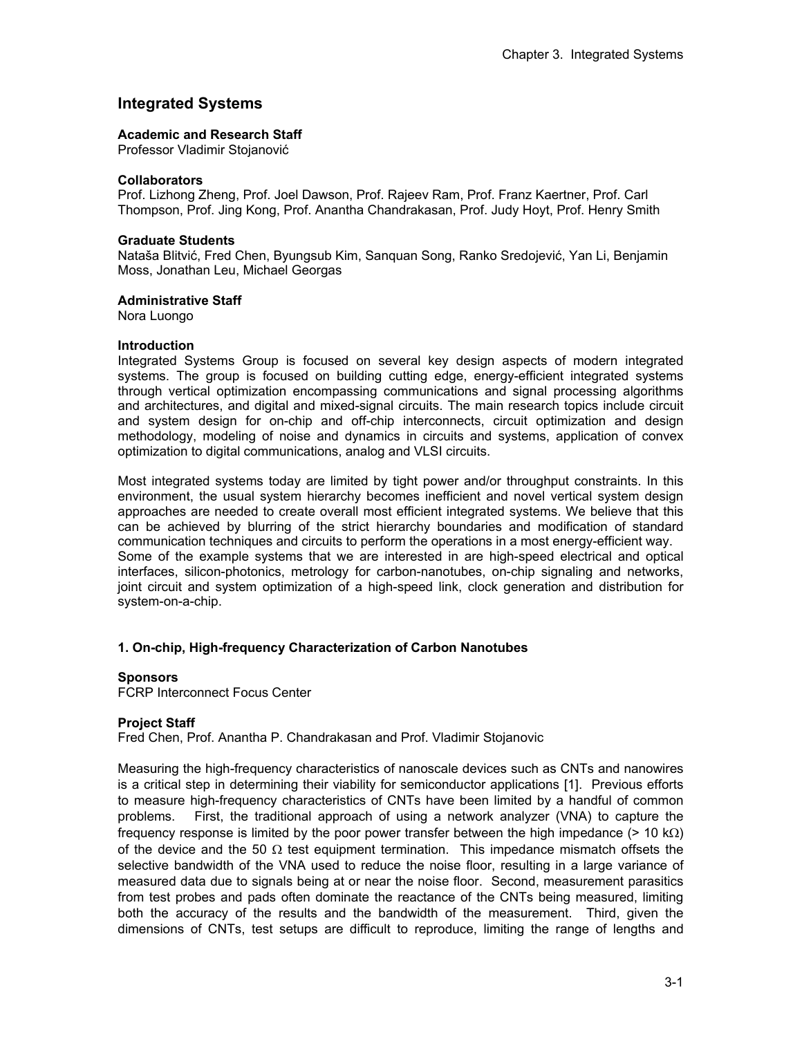# **Integrated Systems**

### **Academic and Research Staff**

Professor Vladimir Stojanović

### **Collaborators**

Prof. Lizhong Zheng, Prof. Joel Dawson, Prof. Rajeev Ram, Prof. Franz Kaertner, Prof. Carl Thompson, Prof. Jing Kong, Prof. Anantha Chandrakasan, Prof. Judy Hoyt, Prof. Henry Smith

### **Graduate Students**

Nataša Blitvić, Fred Chen, Byungsub Kim, Sanquan Song, Ranko Sredojević, Yan Li, Benjamin Moss, Jonathan Leu, Michael Georgas

### **Administrative Staff**

Nora Luongo

### **Introduction**

Integrated Systems Group is focused on several key design aspects of modern integrated systems. The group is focused on building cutting edge, energy-efficient integrated systems through vertical optimization encompassing communications and signal processing algorithms and architectures, and digital and mixed-signal circuits. The main research topics include circuit and system design for on-chip and off-chip interconnects, circuit optimization and design methodology, modeling of noise and dynamics in circuits and systems, application of convex optimization to digital communications, analog and VLSI circuits.

Most integrated systems today are limited by tight power and/or throughput constraints. In this environment, the usual system hierarchy becomes inefficient and novel vertical system design approaches are needed to create overall most efficient integrated systems. We believe that this can be achieved by blurring of the strict hierarchy boundaries and modification of standard communication techniques and circuits to perform the operations in a most energy-efficient way. Some of the example systems that we are interested in are high-speed electrical and optical interfaces, silicon-photonics, metrology for carbon-nanotubes, on-chip signaling and networks, joint circuit and system optimization of a high-speed link, clock generation and distribution for system-on-a-chip.

## **1. On-chip, High-frequency Characterization of Carbon Nanotubes**

## **Sponsors**

FCRP Interconnect Focus Center

## **Project Staff**

Fred Chen, Prof. Anantha P. Chandrakasan and Prof. Vladimir Stojanovic

Measuring the high-frequency characteristics of nanoscale devices such as CNTs and nanowires is a critical step in determining their viability for semiconductor applications [1]. Previous efforts to measure high-frequency characteristics of CNTs have been limited by a handful of common problems. First, the traditional approach of using a network analyzer (VNA) to capture the frequency response is limited by the poor power transfer between the high impedance (> 10 kΩ) of the device and the 50  $\Omega$  test equipment termination. This impedance mismatch offsets the selective bandwidth of the VNA used to reduce the noise floor, resulting in a large variance of measured data due to signals being at or near the noise floor. Second, measurement parasitics from test probes and pads often dominate the reactance of the CNTs being measured, limiting both the accuracy of the results and the bandwidth of the measurement. Third, given the dimensions of CNTs, test setups are difficult to reproduce, limiting the range of lengths and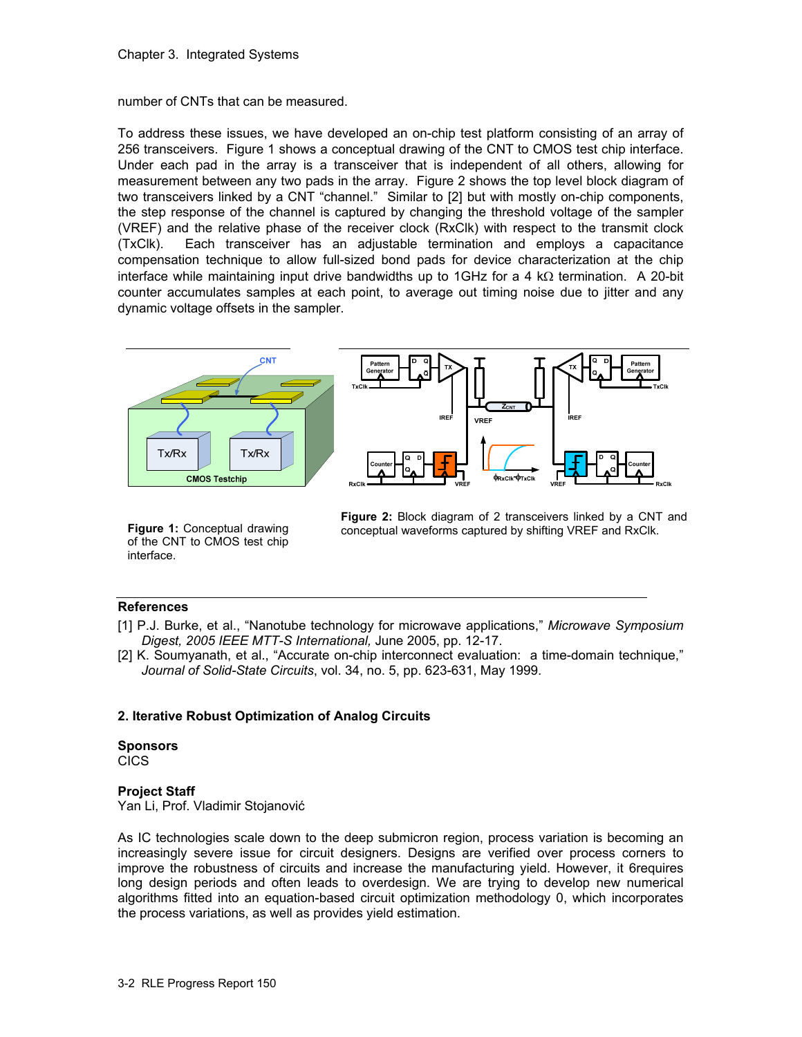number of CNTs that can be measured.

To address these issues, we have developed an on-chip test platform consisting of an array of 256 transceivers. Figure 1 shows a conceptual drawing of the CNT to CMOS test chip interface. Under each pad in the array is a transceiver that is independent of all others, allowing for measurement between any two pads in the array. Figure 2 shows the top level block diagram of two transceivers linked by a CNT "channel." Similar to [2] but with mostly on-chip components, the step response of the channel is captured by changing the threshold voltage of the sampler (VREF) and the relative phase of the receiver clock (RxClk) with respect to the transmit clock (TxClk). Each transceiver has an adjustable termination and employs a capacitance compensation technique to allow full-sized bond pads for device characterization at the chip interface while maintaining input drive bandwidths up to 1GHz for a 4 kΩ termination. A 20-bit counter accumulates samples at each point, to average out timing noise due to jitter and any dynamic voltage offsets in the sampler.



**Figure 1:** Conceptual drawing of the CNT to CMOS test chip interface.

**Figure 2:** Block diagram of 2 transceivers linked by a CNT and conceptual waveforms captured by shifting VREF and RxClk.

# **References**

- [1] P.J. Burke, et al., "Nanotube technology for microwave applications," *Microwave Symposium Digest, 2005 IEEE MTT-S International,* June 2005, pp. 12-17.
- [2] K. Soumyanath, et al., "Accurate on-chip interconnect evaluation: a time-domain technique," *Journal of Solid-State Circuits*, vol. 34, no. 5, pp. 623-631, May 1999.

# **2. Iterative Robust Optimization of Analog Circuits**

## **Sponsors**

CICS

# **Project Staff**

Yan Li, Prof. Vladimir Stojanović

As IC technologies scale down to the deep submicron region, process variation is becoming an increasingly severe issue for circuit designers. Designs are verified over process corners to improve the robustness of circuits and increase the manufacturing yield. However, it 6requires long design periods and often leads to overdesign. We are trying to develop new numerical algorithms fitted into an equation-based circuit optimization methodology 0, which incorporates the process variations, as well as provides yield estimation.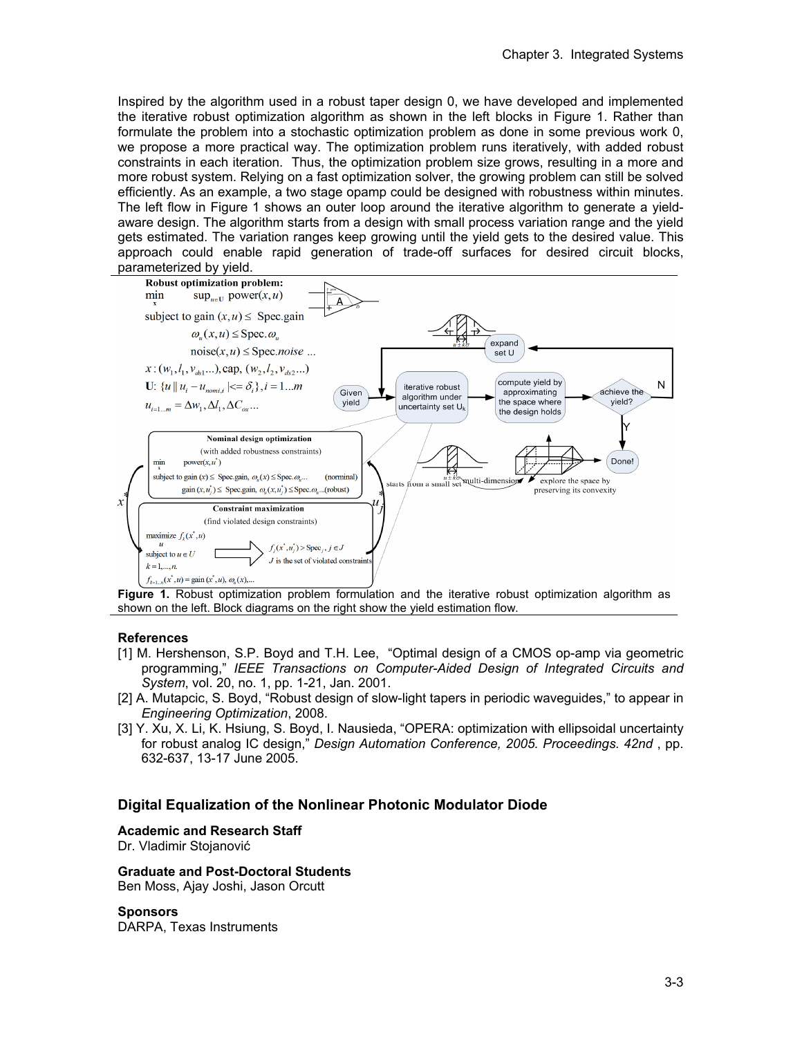Inspired by the algorithm used in a robust taper design 0, we have developed and implemented the iterative robust optimization algorithm as shown in the left blocks in Figure 1. Rather than formulate the problem into a stochastic optimization problem as done in some previous work 0, we propose a more practical way. The optimization problem runs iteratively, with added robust constraints in each iteration. Thus, the optimization problem size grows, resulting in a more and more robust system. Relying on a fast optimization solver, the growing problem can still be solved efficiently. As an example, a two stage opamp could be designed with robustness within minutes. The left flow in Figure 1 shows an outer loop around the iterative algorithm to generate a yieldaware design. The algorithm starts from a design with small process variation range and the yield gets estimated. The variation ranges keep growing until the yield gets to the desired value. This approach could enable rapid generation of trade-off surfaces for desired circuit blocks,



**Figure 1.** Robust optimization problem formulation and the iterative robust optimization algorithm as shown on the left. Block diagrams on the right show the yield estimation flow.

## **References**

- [1] M. Hershenson, S.P. Boyd and T.H. Lee, "Optimal design of a CMOS op-amp via geometric programming," *IEEE Transactions on Computer-Aided Design of Integrated Circuits and System*, vol. 20, no. 1, pp. 1-21, Jan. 2001.
- [2] A. Mutapcic, S. Boyd, "Robust design of slow-light tapers in periodic waveguides," to appear in *Engineering Optimization*, 2008.
- [3] Y. Xu, X. Li, K. Hsiung, S. Boyd, I. Nausieda, "OPERA: optimization with ellipsoidal uncertainty for robust analog IC design," *Design Automation Conference, 2005. Proceedings. 42nd* , pp. 632-637, 13-17 June 2005.

# **Digital Equalization of the Nonlinear Photonic Modulator Diode**

## **Academic and Research Staff**

Dr. Vladimir Stojanović

## **Graduate and Post-Doctoral Students**

Ben Moss, Ajay Joshi, Jason Orcutt

## **Sponsors**

DARPA, Texas Instruments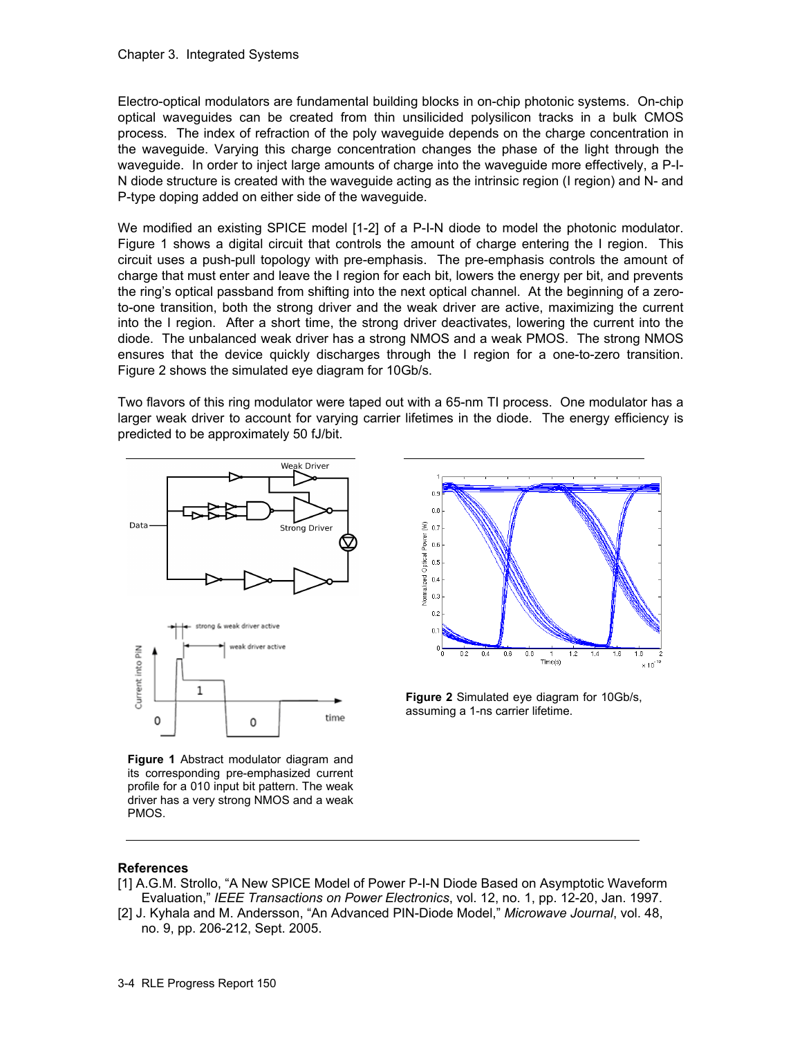Electro-optical modulators are fundamental building blocks in on-chip photonic systems. On-chip optical waveguides can be created from thin unsilicided polysilicon tracks in a bulk CMOS process. The index of refraction of the poly waveguide depends on the charge concentration in the waveguide. Varying this charge concentration changes the phase of the light through the waveguide. In order to inject large amounts of charge into the waveguide more effectively, a P-I-N diode structure is created with the waveguide acting as the intrinsic region (I region) and N- and P-type doping added on either side of the waveguide.

We modified an existing SPICE model [1-2] of a P-I-N diode to model the photonic modulator. Figure 1 shows a digital circuit that controls the amount of charge entering the I region. This circuit uses a push-pull topology with pre-emphasis. The pre-emphasis controls the amount of charge that must enter and leave the I region for each bit, lowers the energy per bit, and prevents the ring's optical passband from shifting into the next optical channel. At the beginning of a zeroto-one transition, both the strong driver and the weak driver are active, maximizing the current into the I region. After a short time, the strong driver deactivates, lowering the current into the diode. The unbalanced weak driver has a strong NMOS and a weak PMOS. The strong NMOS ensures that the device quickly discharges through the I region for a one-to-zero transition. Figure 2 shows the simulated eye diagram for 10Gb/s.

Two flavors of this ring modulator were taped out with a 65-nm TI process. One modulator has a larger weak driver to account for varying carrier lifetimes in the diode. The energy efficiency is predicted to be approximately 50 fJ/bit.



**Figure 1** Abstract modulator diagram and its corresponding pre-emphasized current profile for a 010 input bit pattern. The weak driver has a very strong NMOS and a weak PMOS.



**Figure 2** Simulated eye diagram for 10Gb/s, assuming a 1-ns carrier lifetime.

## **References**

- [1] A.G.M. Strollo, "A New SPICE Model of Power P-I-N Diode Based on Asymptotic Waveform Evaluation," *IEEE Transactions on Power Electronics*, vol. 12, no. 1, pp. 12-20, Jan. 1997.
- [2] J. Kyhala and M. Andersson, "An Advanced PIN-Diode Model," *Microwave Journal*, vol. 48, no. 9, pp. 206-212, Sept. 2005.